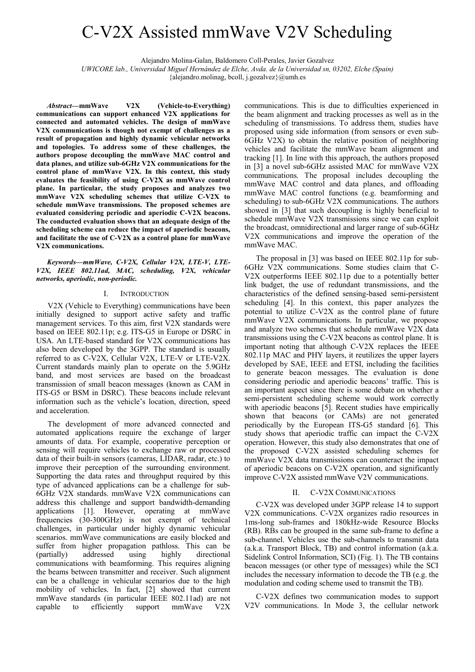# C-V2X Assisted mmWave V2V Scheduling

Alejandro Molina-Galan, Baldomero Coll-Perales, Javier Gozalvez

*UWICORE lab., Universidad Miguel Hernández de Elche, Avda. de la Universidad sn, 03202, Elche (Spain)* 

{alejandro.molinag, bcoll, j.gozalvez}@umh.es

*Abstract***—mmWave V2X (Vehicle-to-Everything) communications can support enhanced V2X applications for connected and automated vehicles. The design of mmWave V2X communications is though not exempt of challenges as a result of propagation and highly dynamic vehicular networks and topologies. To address some of these challenges, the authors propose decoupling the mmWave MAC control and data planes, and utilize sub-6GHz V2X communications for the control plane of mmWave V2X. In this context, this study evaluates the feasibility of using C-V2X as mmWave control plane. In particular, the study proposes and analyzes two mmWave V2X scheduling schemes that utilize C-V2X to schedule mmWave transmissions. The proposed schemes are evaluated considering periodic and aperiodic C-V2X beacons. The conducted evaluation shows that an adequate design of the scheduling scheme can reduce the impact of aperiodic beacons, and facilitate the use of C-V2X as a control plane for mmWave V2X communications.** 

*Keywords—mmWave, C-V2X, Cellular V2X, LTE-V, LTE-V2X, IEEE 802.11ad, MAC, scheduling, V2X, vehicular networks, aperiodic, non-periodic.* 

## I. INTRODUCTION

V2X (Vehicle to Everything) communications have been initially designed to support active safety and traffic management services. To this aim, first V2X standards were based on IEEE 802.11p; e.g. ITS-G5 in Europe or DSRC in USA. An LTE-based standard for V2X communications has also been developed by the 3GPP. The standard is usually referred to as C-V2X, Cellular V2X, LTE-V or LTE-V2X. Current standards mainly plan to operate on the 5.9GHz band, and most services are based on the broadcast transmission of small beacon messages (known as CAM in ITS-G5 or BSM in DSRC). These beacons include relevant information such as the vehicle's location, direction, speed and acceleration.

The development of more advanced connected and automated applications require the exchange of larger amounts of data. For example, cooperative perception or sensing will require vehicles to exchange raw or processed data of their built-in sensors (cameras, LIDAR, radar, etc.) to improve their perception of the surrounding environment. Supporting the data rates and throughput required by this type of advanced applications can be a challenge for sub-6GHz V2X standards. mmWave V2X communications can address this challenge and support bandwidth-demanding applications [1]. However, operating at mmWave frequencies (30-300GHz) is not exempt of technical challenges, in particular under highly dynamic vehicular scenarios. mmWave communications are easily blocked and suffer from higher propagation pathloss. This can be (partially) addressed using highly directional communications with beamforming. This requires aligning the beams between transmitter and receiver. Such alignment can be a challenge in vehicular scenarios due to the high mobility of vehicles. In fact, [2] showed that current mmWave standards (in particular IEEE 802.11ad) are not capable to efficiently support mmWave V2X communications. This is due to difficulties experienced in the beam alignment and tracking processes as well as in the scheduling of transmissions. To address them, studies have proposed using side information (from sensors or even sub-6GHz V2X) to obtain the relative position of neighboring vehicles and facilitate the mmWave beam alignment and tracking [1]. In line with this approach, the authors proposed in [3] a novel sub-6GHz assisted MAC for mmWave V2X communications. The proposal includes decoupling the mmWave MAC control and data planes, and offloading mmWave MAC control functions (e.g. beamforming and scheduling) to sub-6GHz V2X communications. The authors showed in [3] that such decoupling is highly beneficial to schedule mmWave V2X transmissions since we can exploit the broadcast, omnidirectional and larger range of sub-6GHz V2X communications and improve the operation of the mmWave MAC.

The proposal in [3] was based on IEEE 802.11p for sub-6GHz V2X communications. Some studies claim that C-V2X outperforms IEEE 802.11p due to a potentially better link budget, the use of redundant transmissions, and the characteristics of the defined sensing-based semi-persistent scheduling [4]. In this context, this paper analyzes the potential to utilize C-V2X as the control plane of future mmWave V2X communications. In particular, we propose and analyze two schemes that schedule mmWave V2X data transmissions using the C-V2X beacons as control plane. It is important noting that although C-V2X replaces the IEEE 802.11p MAC and PHY layers, it reutilizes the upper layers developed by SAE, IEEE and ETSI, including the facilities to generate beacon messages. The evaluation is done considering periodic and aperiodic beacons' traffic. This is an important aspect since there is some debate on whether a semi-persistent scheduling scheme would work correctly with aperiodic beacons [5]. Recent studies have empirically shown that beacons (or CAMs) are not generated periodically by the European ITS-G5 standard [6]. This study shows that aperiodic traffic can impact the C-V2X operation. However, this study also demonstrates that one of the proposed C-V2X assisted scheduling schemes for mmWave V2X data transmissions can counteract the impact of aperiodic beacons on C-V2X operation, and significantly improve C-V2X assisted mmWave V2V communications.

## II. C-V2X COMMUNICATIONS

C-V2X was developed under 3GPP release 14 to support V2X communications. C-V2X organizes radio resources in 1ms-long sub-frames and 180kHz-wide Resource Blocks (RB). RBs can be grouped in the same sub-frame to define a sub-channel. Vehicles use the sub-channels to transmit data (a.k.a. Transport Block, TB) and control information (a.k.a. Sidelink Control Information, SCI) (Fig. 1). The TB contains beacon messages (or other type of messages) while the SCI includes the necessary information to decode the TB (e.g. the modulation and coding scheme used to transmit the TB).

C-V2X defines two communication modes to support V2V communications. In Mode 3, the cellular network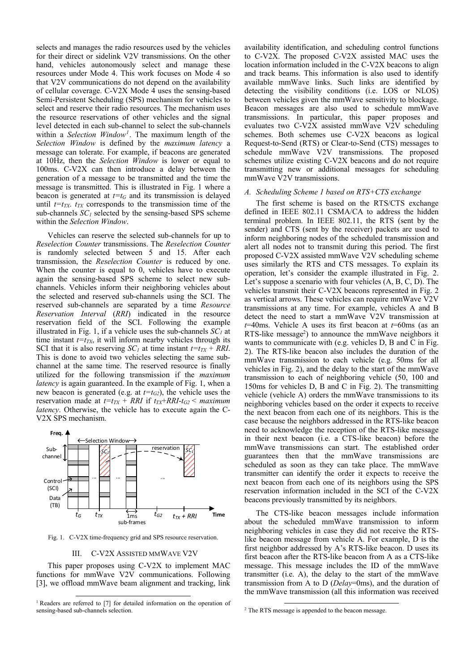selects and manages the radio resources used by the vehicles for their direct or sidelink V2V transmissions. On the other hand, vehicles autonomously select and manage these resources under Mode 4. This work focuses on Mode 4 so that V2V communications do not depend on the availability of cellular coverage. C-V2X Mode 4 uses the sensing-based Semi-Persistent Scheduling (SPS) mechanism for vehicles to select and reserve their radio resources. The mechanism uses the resource reservations of other vehicles and the signal level detected in each sub-channel to select the sub-channels within a *Selection Window1*. The maximum length of the *Selection Window* is defined by the *maximum latency* a message can tolerate. For example, if beacons are generated at 10Hz, then the *Selection Window* is lower or equal to 100ms. C-V2X can then introduce a delay between the generation of a message to be transmitted and the time the message is transmitted. This is illustrated in Fig. 1 where a beacon is generated at  $t=t_G$  and its transmission is delayed until  $t=t_{TX}$ .  $t_{TX}$  corresponds to the transmission time of the sub-channels  $SC<sub>l</sub>$  selected by the sensing-based SPS scheme within the *Selection Window*.

Vehicles can reserve the selected sub-channels for up to *Reselection Counter* transmissions. The *Reselection Counter* is randomly selected between 5 and 15. After each transmission, the *Reselection Counter* is reduced by one. When the counter is equal to 0, vehicles have to execute again the sensing-based SPS scheme to select new subchannels. Vehicles inform their neighboring vehicles about the selected and reserved sub-channels using the SCI. The reserved sub-channels are separated by a time *Resource Reservation Interval* (*RRI*) indicated in the resource reservation field of the SCI. Following the example illustrated in Fig. 1, if a vehicle uses the sub-channels  $SC<sub>1</sub>$  at time instant  $t=t_{TX}$ , it will inform nearby vehicles through its SCI that it is also reserving  $SC_I$  at time instant  $t = t_T X + RRI$ . This is done to avoid two vehicles selecting the same subchannel at the same time. The reserved resource is finally utilized for the following transmission if the *maximum latency* is again guaranteed. In the example of Fig. 1, when a new beacon is generated (e.g. at  $t=t_{G2}$ ), the vehicle uses the reservation made at  $t=t_{TX} + RRI$  if  $t_{TX}+RRI-t_{G2} <$  maximum *latency*. Otherwise, the vehicle has to execute again the C-V2X SPS mechanism.



Fig. 1. C-V2X time-frequency grid and SPS resource reservation.

### III. C-V2X ASSISTED MMWAVE V2V

This paper proposes using C-V2X to implement MAC functions for mmWave V2V communications. Following [3], we offload mmWave beam alignment and tracking, link availability identification, and scheduling control functions to C-V2X. The proposed C-V2X assisted MAC uses the location information included in the C-V2X beacons to align and track beams. This information is also used to identify available mmWave links. Such links are identified by detecting the visibility conditions (i.e. LOS or NLOS) between vehicles given the mmWave sensitivity to blockage. Beacon messages are also used to schedule mmWave transmissions. In particular, this paper proposes and evaluates two C-V2X assisted mmWave V2V scheduling schemes. Both schemes use C-V2X beacons as logical Request-to-Send (RTS) or Clear-to-Send (CTS) messages to schedule mmWave V2V transmissions. The proposed schemes utilize existing C-V2X beacons and do not require transmitting new or additional messages for scheduling mmWave V2V transmissions.

#### *A. Scheduling Scheme 1 based on RTS+CTS exchange*

The first scheme is based on the RTS/CTS exchange defined in IEEE 802.11 CSMA/CA to address the hidden terminal problem. In IEEE 802.11, the RTS (sent by the sender) and CTS (sent by the receiver) packets are used to inform neighboring nodes of the scheduled transmission and alert all nodes not to transmit during this period. The first proposed C-V2X assisted mmWave V2V scheduling scheme uses similarly the RTS and CTS messages. To explain its operation, let's consider the example illustrated in Fig. 2. Let's suppose a scenario with four vehicles (A, B, C, D). The vehicles transmit their C-V2X beacons represented in Fig. 2 as vertical arrows. These vehicles can require mmWave V2V transmissions at any time. For example, vehicles A and B detect the need to start a mmWave V2V transmission at *t*=40ms. Vehicle A uses its first beacon at *t*=60ms (as an RTS-like message<sup>2</sup>) to announce the mmWave neighbors it wants to communicate with (e.g. vehicles D, B and C in Fig. 2). The RTS-like beacon also includes the duration of the mmWave transmission to each vehicle (e.g. 50ms for all vehicles in Fig. 2), and the delay to the start of the mmWave transmission to each of neighboring vehicle (50, 100 and 150ms for vehicles D, B and C in Fig. 2). The transmitting vehicle (vehicle A) orders the mmWave transmissions to its neighboring vehicles based on the order it expects to receive the next beacon from each one of its neighbors. This is the case because the neighbors addressed in the RTS-like beacon need to acknowledge the reception of the RTS-like message in their next beacon (i.e. a CTS-like beacon) before the mmWave transmissions can start. The established order guarantees then that the mmWave transmissions are scheduled as soon as they can take place. The mmWave transmitter can identify the order it expects to receive the next beacon from each one of its neighbors using the SPS reservation information included in the SCI of the C-V2X beacons previously transmitted by its neighbors.

The CTS-like beacon messages include information about the scheduled mmWave transmission to inform neighboring vehicles in case they did not receive the RTSlike beacon message from vehicle A. For example, D is the first neighbor addressed by A's RTS-like beacon. D uses its first beacon after the RTS-like beacon from A as a CTS-like message. This message includes the ID of the mmWave transmitter (i.e. A), the delay to the start of the mmWave transmission from A to D (*Delay*=0ms), and the duration of the mmWave transmission (all this information was received

<sup>&</sup>lt;sup>1</sup> Readers are referred to [7] for detailed information on the operation of sensing-based sub-channels selection.

 <sup>2</sup> The RTS message is appended to the beacon message.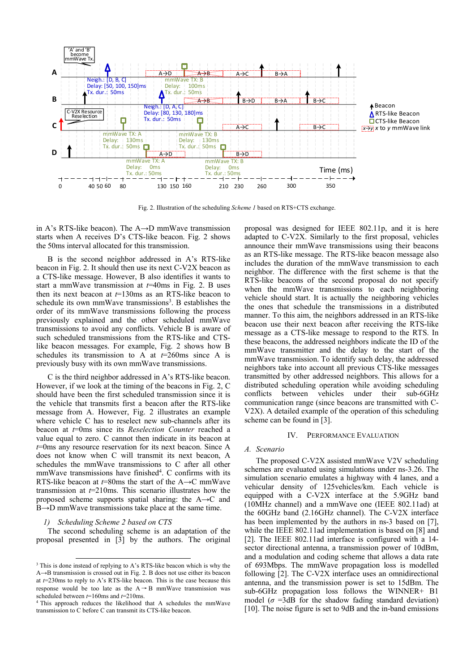

Fig. 2. Illustration of the scheduling *Scheme 1* based on RTS+CTS exchange.

in A's RTS-like beacon). The A→D mmWave transmission starts when A receives D's CTS-like beacon. Fig. 2 shows the 50ms interval allocated for this transmission.

B is the second neighbor addressed in A's RTS-like beacon in Fig. 2. It should then use its next C-V2X beacon as a CTS-like message. However, B also identifies it wants to start a mmWave transmission at *t*=40ms in Fig. 2. B uses then its next beacon at *t*=130ms as an RTS-like beacon to schedule its own mmWave transmissions<sup>3</sup>. B establishes the order of its mmWave transmissions following the process previously explained and the other scheduled mmWave transmissions to avoid any conflicts. Vehicle B is aware of such scheduled transmissions from the RTS-like and CTSlike beacon messages. For example, Fig. 2 shows how B schedules its transmission to A at  $t=260$ ms since A is previously busy with its own mmWave transmissions.

C is the third neighbor addressed in A's RTS-like beacon. However, if we look at the timing of the beacons in Fig. 2, C should have been the first scheduled transmission since it is the vehicle that transmits first a beacon after the RTS-like message from A. However, Fig. 2 illustrates an example where vehicle C has to reselect new sub-channels after its beacon at *t*=0ms since its *Reselection Counter* reached a value equal to zero. C cannot then indicate in its beacon at *t*=0ms any resource reservation for its next beacon. Since A does not know when C will transmit its next beacon, A schedules the mmWave transmissions to C after all other mmWave transmissions have finished<sup>4</sup>. C confirms with its RTS-like beacon at *t*=80ms the start of the A→C mmWave transmission at *t*=210ms. This scenario illustrates how the proposed scheme supports spatial sharing: the  $A\rightarrow C$  and B→D mmWave transmissions take place at the same time.

# *1) Scheduling Scheme 2 based on CTS*

The second scheduling scheme is an adaptation of the proposal presented in [3] by the authors. The original proposal was designed for IEEE 802.11p, and it is here adapted to C-V2X. Similarly to the first proposal, vehicles announce their mmWave transmissions using their beacons as an RTS-like message. The RTS-like beacon message also includes the duration of the mmWave transmission to each neighbor. The difference with the first scheme is that the RTS-like beacons of the second proposal do not specify when the mmWave transmissions to each neighboring vehicle should start. It is actually the neighboring vehicles the ones that schedule the transmissions in a distributed manner. To this aim, the neighbors addressed in an RTS-like beacon use their next beacon after receiving the RTS-like message as a CTS-like message to respond to the RTS. In these beacons, the addressed neighbors indicate the ID of the mmWave transmitter and the delay to the start of the mmWave transmission. To identify such delay, the addressed neighbors take into account all previous CTS-like messages transmitted by other addressed neighbors. This allows for a distributed scheduling operation while avoiding scheduling conflicts between vehicles under their sub-6GHz communication range (since beacons are transmitted with C-V2X). A detailed example of the operation of this scheduling scheme can be found in [3].

#### IV. PERFORMANCE EVALUATION

#### *A. Scenario*

The proposed C-V2X assisted mmWave V2V scheduling schemes are evaluated using simulations under ns-3.26. The simulation scenario emulates a highway with 4 lanes, and a vehicular density of 125vehicles/km. Each vehicle is equipped with a C-V2X interface at the 5.9GHz band (10MHz channel) and a mmWave one (IEEE 802.11ad) at the 60GHz band (2.16GHz channel). The C-V2X interface has been implemented by the authors in ns-3 based on [7], while the IEEE 802.11ad implementation is based on [8] and [2]. The IEEE 802.11ad interface is configured with a 14 sector directional antenna, a transmission power of 10dBm, and a modulation and coding scheme that allows a data rate of 693Mbps. The mmWave propagation loss is modelled following [2]. The C-V2X interface uses an omnidirectional antenna, and the transmission power is set to 15dBm. The sub-6GHz propagation loss follows the WINNER+ B1 model ( $\sigma$  =3dB for the shadow fading standard deviation) [10]. The noise figure is set to 9dB and the in-band emissions

<sup>&</sup>lt;sup>3</sup> This is done instead of replying to A's RTS-like beacon which is why the A→B transmission is crossed out in Fig. 2. B does not use either its beacon at *t*=230ms to reply to A's RTS-like beacon. This is the case because this response would be too late as the  $A \rightarrow B$  mmWave transmission was

scheduled between  $t=160$ ms and  $t=210$ ms.<br><sup>4</sup> This approach reduces the likelihood that A schedules the mmWave transmission to C before C can transmit its CTS-like beacon.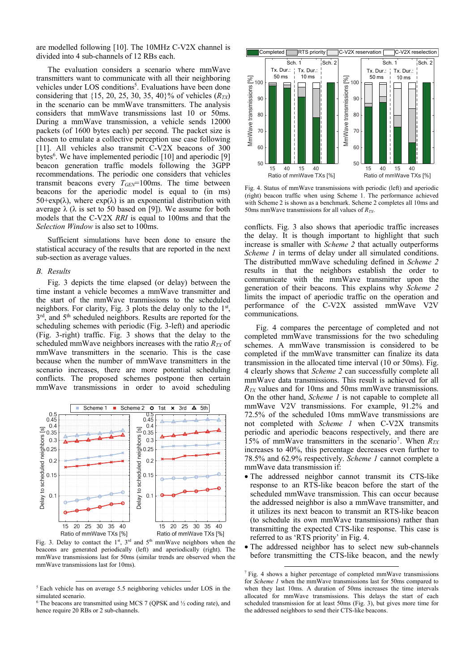are modelled following [10]. The 10MHz C-V2X channel is divided into 4 sub-channels of 12 RBs each.

The evaluation considers a scenario where mmWave transmitters want to communicate with all their neighboring vehicles under LOS conditions<sup>5</sup>. Evaluations have been done considering that  $\{15, 20, 25, 30, 35, 40\}$ % of vehicles  $(R_{TX})$ in the scenario can be mmWave transmitters. The analysis considers that mmWave transmissions last 10 or 50ms. During a mmWave transmission, a vehicle sends 12000 packets (of 1600 bytes each) per second. The packet size is chosen to emulate a collective perception use case following [11]. All vehicles also transmit C-V2X beacons of 300 bytes<sup>6</sup>. We have implemented periodic  $[10]$  and aperiodic  $[9]$ beacon generation traffic models following the 3GPP recommendations. The periodic one considers that vehicles transmit beacons every  $T_{GEN}$ =100ms. The time between beacons for the aperiodic model is equal to (in ms)  $50+\exp(\lambda)$ , where  $\exp(\lambda)$  is an exponential distribution with average  $λ$  ( $λ$  is set to 50 based on [9]). We assume for both models that the C-V2X *RRI* is equal to 100ms and that the *Selection Window* is also set to 100ms.

Sufficient simulations have been done to ensure the statistical accuracy of the results that are reported in the next sub-section as average values.

#### *B. Results*

Fig. 3 depicts the time elapsed (or delay) between the time instant a vehicle becomes a mmWave transmitter and the start of the mmWave tranmissions to the scheduled neighbors. For clarity, Fig. 3 plots the delay only to the  $1<sup>st</sup>$ ,  $3<sup>rd</sup>$ , and  $5<sup>th</sup>$  scheduled neighbors. Results are reported for the scheduling schemes with periodic (Fig. 3-left) and aperiodic (Fig. 3-right) traffic. Fig. 3 shows that the delay to the scheduled mmWave neighbors increases with the ratio  $R_{TX}$  of mmWave transmitters in the scenario. This is the case because when the number of mmWave transmitters in the scenario increases, there are more potential scheduling conflicts. The proposed schemes postpone then certain mmWave transmissions in order to avoid scheduling



Fig. 3. Delay to contact the  $1<sup>st</sup>$ ,  $3<sup>rd</sup>$  and  $5<sup>th</sup>$  mmWave neighbors when the beacons are generated periodically (left) and aperiodically (right). The mmWave transmissions last for 50ms (similar trends are observed when the



Fig. 4. Status of mmWave transmissions with periodic (left) and aperiodic (right) beacon traffic when using Scheme 1. The performance achieved with Scheme 2 is shown as a benchmark. Scheme 2 completes all 10ms and 50ms mmWave transmissions for all values of  $R_{TX}$ .

conflicts. Fig. 3 also shows that aperiodic traffic increases the delay. It is though important to highlight that such increase is smaller with *Scheme 2* that actually outperforms *Scheme 1* in terms of delay under all simulated conditions. The distributted mmWave scheduling defined in *Scheme 2* results in that the neighbors establish the order to communicate with the mmWave transmitter upon the generation of their beacons. This explains why *Scheme 2* limits the impact of aperiodic traffic on the operation and performance of the C-V2X assisted mmWave V2V communications.

Fig. 4 compares the percentage of completed and not completed mmWave transmissions for the two scheduling schemes. A mmWave transmission is considered to be completed if the mmWave transmitter can finalize its data transmission in the allocated time interval (10 or 50ms). Fig. 4 clearly shows that *Scheme 2* can successfully complete all mmWave data transmissions. This result is achieved for all *RTX* values and for 10ms and 50ms mmWave transmissions. On the other hand, *Scheme 1* is not capable to complete all mmWave V2V transmissions. For example, 91.2% and 72.5% of the scheduled 10ms mmWave transmissions are not completed with *Scheme 1* when C-V2X transmits periodic and aperiodic beacons respectively, and there are 15% of mmWave transmitters in the scenario7. When *RTX* increases to 40%, this percentage decreases even further to 78.5% and 62.9% respectively. *Scheme 1* cannot complete a mmWave data transmission if:

- The addressed neighbor cannot transmit its CTS-like response to an RTS-like beacon before the start of the scheduled mmWave transmission. This can occur because the addressed neighbor is also a mmWave transmitter, and it utilizes its next beacon to transmit an RTS-like beacon (to schedule its own mmWave transmissions) rather than transmitting the expected CTS-like response. This case is referred to as 'RTS priority' in Fig. 4.
- The addressed neighbor has to select new sub-channels before transmitting the CTS-like beacon, and the newly

 <sup>5</sup> Each vehicle has on average 5.5 neighboring vehicles under LOS in the simulated scenario.

 $6$  The beacons are transmitted using MCS 7 (QPSK and  $\frac{1}{2}$  coding rate), and hence require 20 RBs or 2 sub-channels.

 <sup>7</sup> Fig. 4 shows a higher percentage of completed mmWave transmissions for *Scheme 1* when the mmWave transmissions last for 50ms compared to when they last 10ms. A duration of 50ms increases the time intervals allocated for mmWave transmissions. This delays the start of each scheduled transmission for at least 50ms (Fig. 3), but gives more time for the addressed neighbors to send their CTS-like beacons.